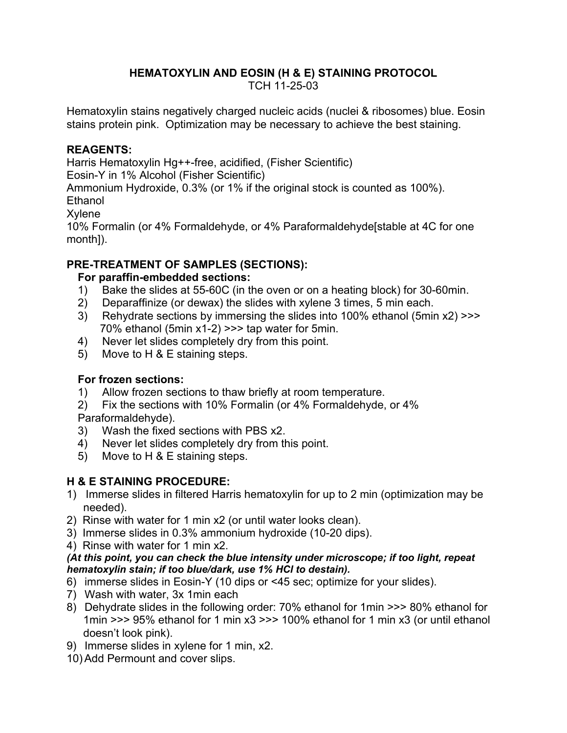### **HEMATOXYLIN AND EOSIN (H & E) STAINING PROTOCOL**

TCH 11-25-03

Hematoxylin stains negatively charged nucleic acids (nuclei & ribosomes) blue. Eosin stains protein pink. Optimization may be necessary to achieve the best staining.

#### **REAGENTS:**

Harris Hematoxylin Hg++-free, acidified, (Fisher Scientific)

Eosin-Y in 1% Alcohol (Fisher Scientific)

Ammonium Hydroxide, 0.3% (or 1% if the original stock is counted as 100%).

Ethanol

Xylene

10% Formalin (or 4% Formaldehyde, or 4% Paraformaldehyde[stable at 4C for one month]).

### **PRE-TREATMENT OF SAMPLES (SECTIONS):**

#### **For paraffin-embedded sections:**

- 1) Bake the slides at 55-60C (in the oven or on a heating block) for 30-60min.
- 2) Deparaffinize (or dewax) the slides with xylene 3 times, 5 min each.
- 3) Rehydrate sections by immersing the slides into 100% ethanol (5min x2) >>> 70% ethanol (5min x1-2) >>> tap water for 5min.
- 4) Never let slides completely dry from this point.
- 5) Move to H & E staining steps.

# **For frozen sections:**

1) Allow frozen sections to thaw briefly at room temperature.

2) Fix the sections with 10% Formalin (or 4% Formaldehyde, or 4% Paraformaldehyde).

- 3) Wash the fixed sections with PBS x2.
- 4) Never let slides completely dry from this point.
- 5) Move to H & E staining steps.

# **H & E STAINING PROCEDURE:**

- 1) Immerse slides in filtered Harris hematoxylin for up to 2 min (optimization may be needed).
- 2) Rinse with water for 1 min x2 (or until water looks clean).
- 3) Immerse slides in 0.3% ammonium hydroxide (10-20 dips).
- 4) Rinse with water for 1 min x2.

#### *(At this point, you can check the blue intensity under microscope; if too light, repeat hematoxylin stain; if too blue/dark, use 1% HCl to destain).*

- 6) immerse slides in Eosin-Y (10 dips or <45 sec; optimize for your slides).
- 7) Wash with water, 3x 1min each
- 8) Dehydrate slides in the following order: 70% ethanol for 1min >>> 80% ethanol for 1min >>> 95% ethanol for 1 min x3 >>> 100% ethanol for 1 min x3 (or until ethanol doesn't look pink).
- 9) Immerse slides in xylene for 1 min, x2.
- 10)Add Permount and cover slips.